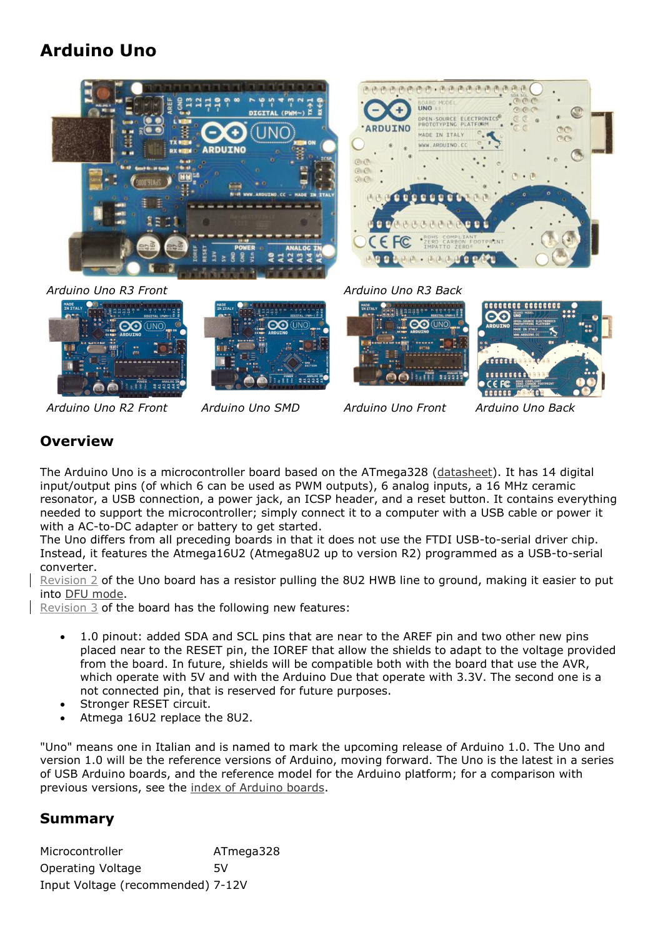# **Arduino Uno**





#### *Arduino Uno R3 Front Arduino Uno R3 Back*









*Arduino Uno R2 Front Arduino Uno SMD Arduino Uno Front Arduino Uno Back*

### **Overview**

The Arduino Uno is a microcontroller board based on the ATmega328 [\(datasheet\)](http://www.atmel.com/dyn/resources/prod_documents/doc8161.pdf). It has 14 digital input/output pins (of which 6 can be used as PWM outputs), 6 analog inputs, a 16 MHz ceramic resonator, a USB connection, a power jack, an ICSP header, and a reset button. It contains everything needed to support the microcontroller; simply connect it to a computer with a USB cable or power it with a AC-to-DC adapter or battery to get started.

The Uno differs from all preceding boards in that it does not use the FTDI USB-to-serial driver chip. Instead, it features the Atmega16U2 (Atmega8U2 up to version R2) programmed as a USB-to-serial converter.

Revision 2 of the Uno board has a resistor pulling the 8U2 HWB line to ground, making it easier to put into [DFU mode.](http://arduino.cc/en/Hacking/DFUProgramming8U2)

Revision 3 of the board has the following new features:

- 1.0 pinout: added SDA and SCL pins that are near to the AREF pin and two other new pins placed near to the RESET pin, the IOREF that allow the shields to adapt to the voltage provided from the board. In future, shields will be compatible both with the board that use the AVR, which operate with 5V and with the Arduino Due that operate with 3.3V. The second one is a not connected pin, that is reserved for future purposes.
- Stronger RESET circuit.
- Atmega 16U2 replace the 8U2.

"Uno" means one in Italian and is named to mark the upcoming release of Arduino 1.0. The Uno and version 1.0 will be the reference versions of Arduino, moving forward. The Uno is the latest in a series of USB Arduino boards, and the reference model for the Arduino platform; for a comparison with previous versions, see the [index of Arduino boards.](http://arduino.cc/en/Main/Boards)

#### **Summary**

Microcontroller ATmega328 Operating Voltage 5V Input Voltage (recommended) 7-12V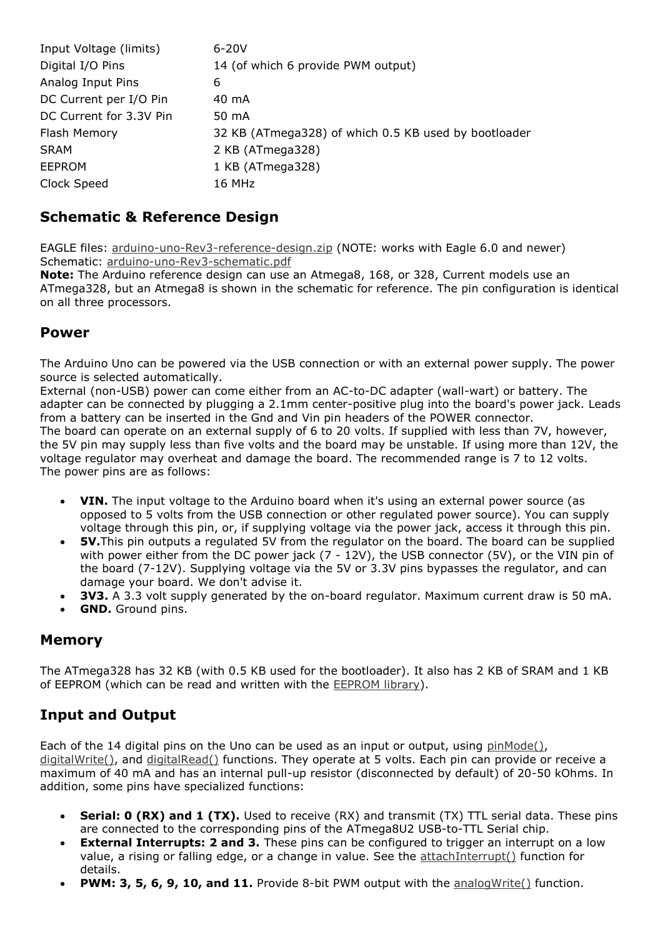| $6 - 20V$                                            |
|------------------------------------------------------|
| 14 (of which 6 provide PWM output)                   |
| 6                                                    |
| 40 mA                                                |
| 50 mA                                                |
| 32 KB (ATmega328) of which 0.5 KB used by bootloader |
| 2 KB (ATmega328)                                     |
| 1 KB (ATmega328)                                     |
| 16 MHz                                               |
|                                                      |

#### **Schematic & Reference Design**

EAGLE files: [arduino-uno-Rev3-reference-design.zip](http://arduino.cc/en/uploads/Main/arduino_Uno_Rev3-02-TH.zip) (NOTE: works with Eagle 6.0 and newer) Schematic: [arduino-uno-Rev3-schematic.pdf](http://arduino.cc/en/uploads/Main/Arduino_Uno_Rev3-schematic.pdf)

**Note:** The Arduino reference design can use an Atmega8, 168, or 328, Current models use an ATmega328, but an Atmega8 is shown in the schematic for reference. The pin configuration is identical on all three processors.

#### **Power**

The Arduino Uno can be powered via the USB connection or with an external power supply. The power source is selected automatically.

External (non-USB) power can come either from an AC-to-DC adapter (wall-wart) or battery. The adapter can be connected by plugging a 2.1mm center-positive plug into the board's power jack. Leads from a battery can be inserted in the Gnd and Vin pin headers of the POWER connector. The board can operate on an external supply of 6 to 20 volts. If supplied with less than 7V, however, the 5V pin may supply less than five volts and the board may be unstable. If using more than 12V, the voltage regulator may overheat and damage the board. The recommended range is 7 to 12 volts. The power pins are as follows:

- **VIN.** The input voltage to the Arduino board when it's using an external power source (as opposed to 5 volts from the USB connection or other regulated power source). You can supply voltage through this pin, or, if supplying voltage via the power jack, access it through this pin.
- **5V.**This pin outputs a regulated 5V from the regulator on the board. The board can be supplied with power either from the DC power jack (7 - 12V), the USB connector (5V), or the VIN pin of the board (7-12V). Supplying voltage via the 5V or 3.3V pins bypasses the regulator, and can damage your board. We don't advise it.
- **3V3.** A 3.3 volt supply generated by the on-board regulator. Maximum current draw is 50 mA.
- **GND.** Ground pins.

### **Memory**

The ATmega328 has 32 KB (with 0.5 KB used for the bootloader). It also has 2 KB of SRAM and 1 KB of EEPROM (which can be read and written with the [EEPROM library\)](http://www.arduino.cc/en/Reference/EEPROM).

### **Input and Output**

Each of the 14 digital pins on the Uno can be used as an input or output, using [pinMode\(\),](http://arduino.cc/en/Reference/PinMode) [digitalWrite\(\),](http://arduino.cc/en/Reference/DigitalWrite) and [digitalRead\(\)](http://arduino.cc/en/Reference/DigitalRead) functions. They operate at 5 volts. Each pin can provide or receive a maximum of 40 mA and has an internal pull-up resistor (disconnected by default) of 20-50 kOhms. In addition, some pins have specialized functions:

- **Serial: 0 (RX) and 1 (TX).** Used to receive (RX) and transmit (TX) TTL serial data. These pins are connected to the corresponding pins of the ATmega8U2 USB-to-TTL Serial chip.
- **External Interrupts: 2 and 3.** These pins can be configured to trigger an interrupt on a low value, a rising or falling edge, or a change in value. See the [attachInterrupt\(\)](http://arduino.cc/en/Reference/AttachInterrupt) function for details.
- **PWM: 3, 5, 6, 9, 10, and 11.** Provide 8-bit PWM output with the analog Write() function.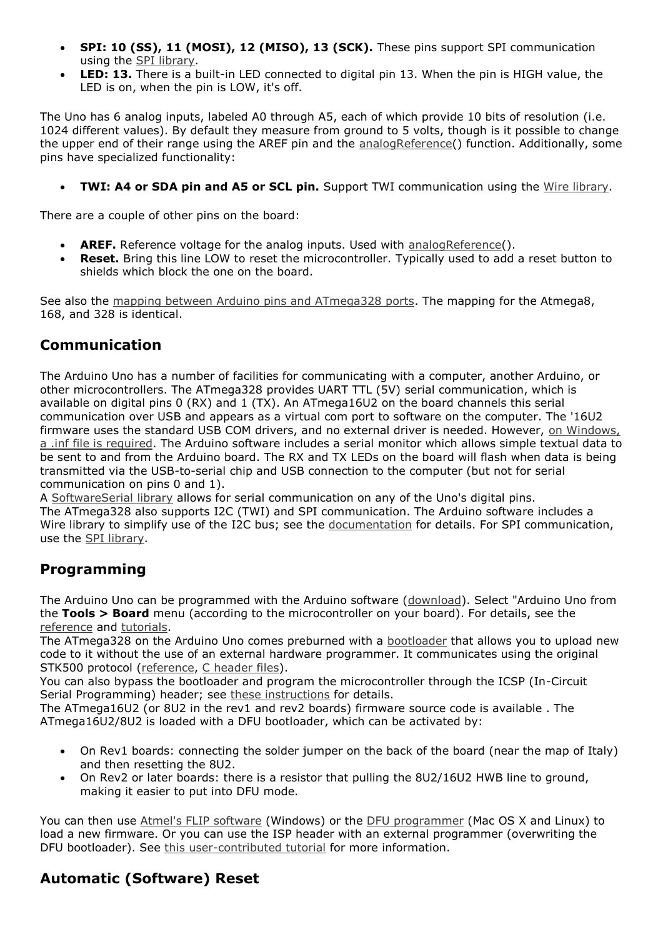- **SPI: 10 (SS), 11 (MOSI), 12 (MISO), 13 (SCK).** These pins support SPI communication using the [SPI library.](http://arduino.cc/en/Reference/SPI)
- **LED: 13.** There is a built-in LED connected to digital pin 13. When the pin is HIGH value, the LED is on, when the pin is LOW, it's off.

The Uno has 6 analog inputs, labeled A0 through A5, each of which provide 10 bits of resolution (i.e. 1024 different values). By default they measure from ground to 5 volts, though is it possible to change the upper end of their range using the AREF pin and the [analogReference\(](http://arduino.cc/en/Reference/AnalogReference)) function. Additionally, some pins have specialized functionality:

**TWI: A4 or SDA pin and A5 or SCL pin.** Support TWI communication using the [Wire library.](http://arduino.cc/en/Reference/Wire)

There are a couple of other pins on the board:

- **AREF.** Reference voltage for the analog inputs. Used with [analogReference\(](http://arduino.cc/en/Reference/AnalogReference)).
- **Reset.** Bring this line LOW to reset the microcontroller. Typically used to add a reset button to shields which block the one on the board.

See also the [mapping between Arduino pins and ATmega328 ports.](http://arduino.cc/en/Hacking/PinMapping168) The mapping for the Atmega8, 168, and 328 is identical.

#### **Communication**

The Arduino Uno has a number of facilities for communicating with a computer, another Arduino, or other microcontrollers. The ATmega328 provides UART TTL (5V) serial communication, which is available on digital pins 0 (RX) and 1 (TX). An ATmega16U2 on the board channels this serial communication over USB and appears as a virtual com port to software on the computer. The '16U2 firmware uses the standard USB COM drivers, and no external driver is needed. However, on Windows, [a .inf file is required.](http://arduino.cc/en/Guide/Windows#toc4) The Arduino software includes a serial monitor which allows simple textual data to be sent to and from the Arduino board. The RX and TX LEDs on the board will flash when data is being transmitted via the USB-to-serial chip and USB connection to the computer (but not for serial communication on pins 0 and 1).

A [SoftwareSerial library](http://www.arduino.cc/en/Reference/SoftwareSerial) allows for serial communication on any of the Uno's digital pins. The ATmega328 also supports I2C (TWI) and SPI communication. The Arduino software includes a Wire library to simplify use of the I2C bus; see the [documentation](http://arduino.cc/en/Reference/Wire) for details. For SPI communication, use the [SPI library.](http://arduino.cc/en/Reference/SPI)

### **Programming**

The Arduino Uno can be programmed with the Arduino software [\(download\)](http://arduino.cc/en/Main/Software). Select "Arduino Uno from the **Tools > Board** menu (according to the microcontroller on your board). For details, see the [reference](http://arduino.cc/en/Reference/HomePage) and [tutorials.](http://arduino.cc/en/Tutorial/HomePage)

The ATmega328 on the Arduino Uno comes preburned with a [bootloader](http://arduino.cc/en/Tutorial/Bootloader) that allows you to upload new code to it without the use of an external hardware programmer. It communicates using the original STK500 protocol [\(reference,](http://www.atmel.com/dyn/resources/prod_documents/doc2525.pdf) [C header files\)](http://www.atmel.com/dyn/resources/prod_documents/avr061.zip).

You can also bypass the bootloader and program the microcontroller through the ICSP (In-Circuit Serial Programming) header; see [these instructions](http://arduino.cc/en/Hacking/Programmer) for details.

The ATmega16U2 (or 8U2 in the rev1 and rev2 boards) firmware source code is available . The ATmega16U2/8U2 is loaded with a DFU bootloader, which can be activated by:

- On Rev1 boards: connecting the solder jumper on the back of the board (near the map of Italy) and then resetting the 8U2.
- On Rev2 or later boards: there is a resistor that pulling the 8U2/16U2 HWB line to ground, making it easier to put into DFU mode.

You can then use [Atmel's FLIP software](http://www.atmel.com/dyn/products/tools_card.asp?tool_id=3886) (Windows) or the [DFU programmer](http://dfu-programmer.sourceforge.net/) (Mac OS X and Linux) to load a new firmware. Or you can use the ISP header with an external programmer (overwriting the DFU bootloader). See [this user-contributed tutorial](http://www.arduino.cc/cgi-bin/yabb2/YaBB.pl?num=1285962838) for more information.

## **Automatic (Software) Reset**